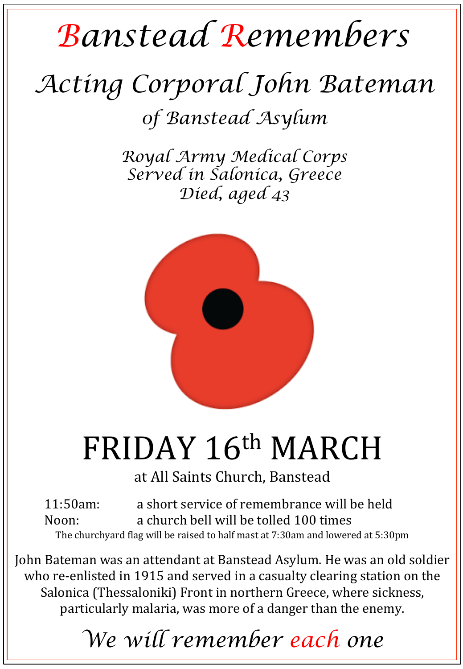## *Banstead Remembers*

## *Acting Corporal John Bateman*

*0f Banstead Asylum* 

*Royal Army Medical Corps Served in Salonica, Greece Died, aged 43* 



## FRIDAY 16th MARCH

at All Saints Church, Banstead

11:50am: a short service of remembrance will be held Noon: a church bell will be tolled 100 times The churchyard flag will be raised to half mast at 7:30am and lowered at 5:30pm

John Bateman was an attendant at Banstead Asylum. He was an old soldier who re-enlisted in 1915 and served in a casualty clearing station on the Salonica (Thessaloniki) Front in northern Greece, where sickness, particularly malaria, was more of a danger than the enemy.

*We will remember each one*